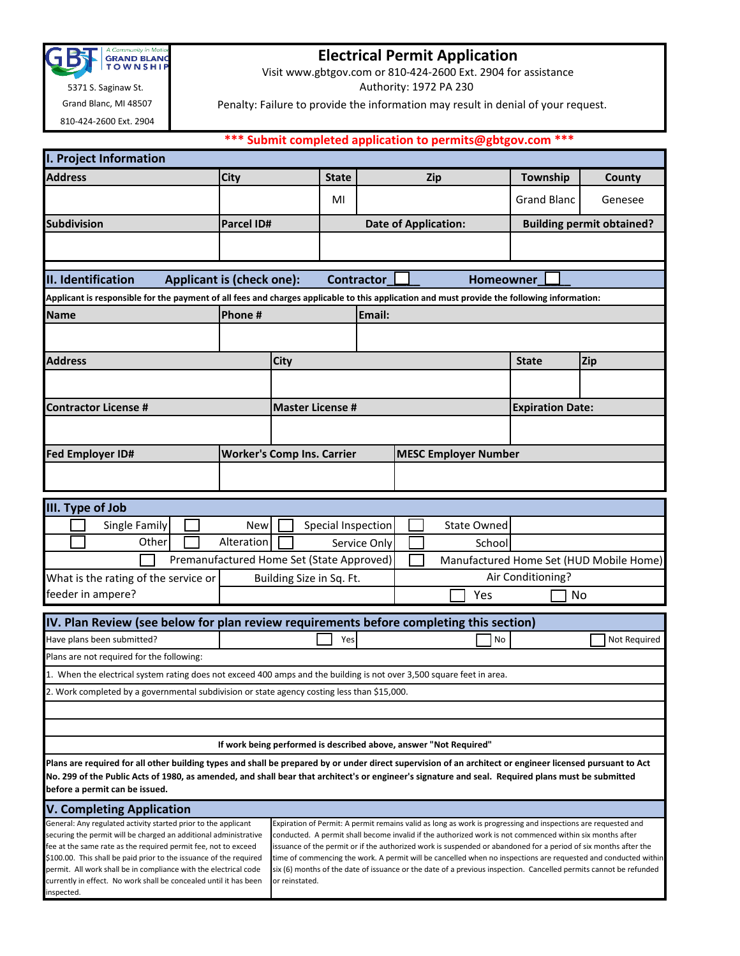

Grand Blanc, MI 48507

810-424-2600 Ext. 2904

currently in effect. No work shall be concealed until it has been

inspected.

## **Electrical Permit Application**

Visit www.gbtgov.com or 810-424-2600 Ext. 2904 for assistance

Authority: 1972 PA 230

Penalty: Failure to provide the information may result in denial of your request.

## **\*\*\* Submit completed application to permits@gbtgov.com \*\*\***

| <b>I. Project Information</b>                                                                                                                                                                                                                                                                                   |                                           |                          |                    |                   |                             |                                                                                                                                                                                                                             |                         |                                                                                                                   |  |  |
|-----------------------------------------------------------------------------------------------------------------------------------------------------------------------------------------------------------------------------------------------------------------------------------------------------------------|-------------------------------------------|--------------------------|--------------------|-------------------|-----------------------------|-----------------------------------------------------------------------------------------------------------------------------------------------------------------------------------------------------------------------------|-------------------------|-------------------------------------------------------------------------------------------------------------------|--|--|
| <b>Address</b>                                                                                                                                                                                                                                                                                                  | <b>City</b>                               |                          | <b>State</b>       |                   |                             | <b>Zip</b>                                                                                                                                                                                                                  | Township                | County                                                                                                            |  |  |
|                                                                                                                                                                                                                                                                                                                 |                                           |                          | MI                 |                   |                             |                                                                                                                                                                                                                             | <b>Grand Blanc</b>      | Genesee                                                                                                           |  |  |
| <b>Subdivision</b>                                                                                                                                                                                                                                                                                              | <b>Parcel ID#</b>                         |                          |                    |                   | <b>Date of Application:</b> |                                                                                                                                                                                                                             |                         | <b>Building permit obtained?</b>                                                                                  |  |  |
|                                                                                                                                                                                                                                                                                                                 |                                           |                          |                    |                   |                             |                                                                                                                                                                                                                             |                         |                                                                                                                   |  |  |
|                                                                                                                                                                                                                                                                                                                 |                                           |                          |                    |                   |                             |                                                                                                                                                                                                                             |                         |                                                                                                                   |  |  |
| II. Identification                                                                                                                                                                                                                                                                                              | Applicant is (check one):                 |                          |                    | <b>Contractor</b> |                             | <b>Homeowner</b>                                                                                                                                                                                                            |                         |                                                                                                                   |  |  |
| Applicant is responsible for the payment of all fees and charges applicable to this application and must provide the following information:                                                                                                                                                                     |                                           |                          |                    |                   |                             |                                                                                                                                                                                                                             |                         |                                                                                                                   |  |  |
| <b>Name</b>                                                                                                                                                                                                                                                                                                     | Phone #                                   |                          |                    | Email:            |                             |                                                                                                                                                                                                                             |                         |                                                                                                                   |  |  |
|                                                                                                                                                                                                                                                                                                                 |                                           |                          |                    |                   |                             |                                                                                                                                                                                                                             |                         |                                                                                                                   |  |  |
| <b>Address</b>                                                                                                                                                                                                                                                                                                  |                                           | City                     |                    |                   |                             |                                                                                                                                                                                                                             | <b>State</b>            | Zip                                                                                                               |  |  |
|                                                                                                                                                                                                                                                                                                                 |                                           |                          |                    |                   |                             |                                                                                                                                                                                                                             |                         |                                                                                                                   |  |  |
| <b>Contractor License #</b>                                                                                                                                                                                                                                                                                     | <b>Master License #</b>                   |                          |                    |                   |                             |                                                                                                                                                                                                                             | <b>Expiration Date:</b> |                                                                                                                   |  |  |
|                                                                                                                                                                                                                                                                                                                 |                                           |                          |                    |                   |                             |                                                                                                                                                                                                                             |                         |                                                                                                                   |  |  |
| <b>Fed Employer ID#</b>                                                                                                                                                                                                                                                                                         | <b>Worker's Comp Ins. Carrier</b>         |                          |                    |                   |                             | <b>MESC Employer Number</b>                                                                                                                                                                                                 |                         |                                                                                                                   |  |  |
|                                                                                                                                                                                                                                                                                                                 |                                           |                          |                    |                   |                             |                                                                                                                                                                                                                             |                         |                                                                                                                   |  |  |
|                                                                                                                                                                                                                                                                                                                 |                                           |                          |                    |                   |                             |                                                                                                                                                                                                                             |                         |                                                                                                                   |  |  |
| III. Type of Job                                                                                                                                                                                                                                                                                                |                                           |                          |                    |                   |                             |                                                                                                                                                                                                                             |                         |                                                                                                                   |  |  |
| Single Family                                                                                                                                                                                                                                                                                                   | <b>New</b>                                |                          | Special Inspection |                   |                             | <b>State Owned</b>                                                                                                                                                                                                          |                         |                                                                                                                   |  |  |
| Other                                                                                                                                                                                                                                                                                                           | Alteration                                |                          |                    | Service Only      |                             | School                                                                                                                                                                                                                      |                         |                                                                                                                   |  |  |
|                                                                                                                                                                                                                                                                                                                 | Premanufactured Home Set (State Approved) |                          |                    |                   |                             |                                                                                                                                                                                                                             |                         | Manufactured Home Set (HUD Mobile Home)                                                                           |  |  |
| What is the rating of the service or                                                                                                                                                                                                                                                                            |                                           | Building Size in Sq. Ft. |                    |                   |                             |                                                                                                                                                                                                                             | Air Conditioning?       |                                                                                                                   |  |  |
| feeder in ampere?                                                                                                                                                                                                                                                                                               |                                           | Yes                      |                    |                   |                             | No                                                                                                                                                                                                                          |                         |                                                                                                                   |  |  |
|                                                                                                                                                                                                                                                                                                                 |                                           |                          |                    |                   |                             |                                                                                                                                                                                                                             |                         |                                                                                                                   |  |  |
| IV. Plan Review (see below for plan review requirements before completing this section)<br>Have plans been submitted?                                                                                                                                                                                           |                                           |                          | Yes                |                   |                             | No                                                                                                                                                                                                                          |                         | Not Required                                                                                                      |  |  |
|                                                                                                                                                                                                                                                                                                                 |                                           |                          |                    |                   |                             |                                                                                                                                                                                                                             |                         |                                                                                                                   |  |  |
| Plans are not required for the following:                                                                                                                                                                                                                                                                       |                                           |                          |                    |                   |                             |                                                                                                                                                                                                                             |                         |                                                                                                                   |  |  |
| 1. When the electrical system rating does not exceed 400 amps and the building is not over 3,500 square feet in area.                                                                                                                                                                                           |                                           |                          |                    |                   |                             |                                                                                                                                                                                                                             |                         |                                                                                                                   |  |  |
| 2. Work completed by a governmental subdivision or state agency costing less than \$15,000.                                                                                                                                                                                                                     |                                           |                          |                    |                   |                             |                                                                                                                                                                                                                             |                         |                                                                                                                   |  |  |
|                                                                                                                                                                                                                                                                                                                 |                                           |                          |                    |                   |                             |                                                                                                                                                                                                                             |                         |                                                                                                                   |  |  |
|                                                                                                                                                                                                                                                                                                                 |                                           |                          |                    |                   |                             | If work being performed is described above, answer "Not Required"                                                                                                                                                           |                         |                                                                                                                   |  |  |
|                                                                                                                                                                                                                                                                                                                 |                                           |                          |                    |                   |                             |                                                                                                                                                                                                                             |                         |                                                                                                                   |  |  |
| Plans are required for all other building types and shall be prepared by or under direct supervision of an architect or engineer licensed pursuant to Act<br>No. 299 of the Public Acts of 1980, as amended, and shall bear that architect's or engineer's signature and seal. Required plans must be submitted |                                           |                          |                    |                   |                             |                                                                                                                                                                                                                             |                         |                                                                                                                   |  |  |
| before a permit can be issued.                                                                                                                                                                                                                                                                                  |                                           |                          |                    |                   |                             |                                                                                                                                                                                                                             |                         |                                                                                                                   |  |  |
| <b>V. Completing Application</b>                                                                                                                                                                                                                                                                                |                                           |                          |                    |                   |                             |                                                                                                                                                                                                                             |                         |                                                                                                                   |  |  |
| General: Any regulated activity started prior to the applicant                                                                                                                                                                                                                                                  |                                           |                          |                    |                   |                             | Expiration of Permit: A permit remains valid as long as work is progressing and inspections are requested and                                                                                                               |                         |                                                                                                                   |  |  |
| securing the permit will be charged an additional administrative<br>fee at the same rate as the required permit fee, not to exceed                                                                                                                                                                              |                                           |                          |                    |                   |                             | conducted. A permit shall become invalid if the authorized work is not commenced within six months after<br>issuance of the permit or if the authorized work is suspended or abandoned for a period of six months after the |                         |                                                                                                                   |  |  |
| \$100.00. This shall be paid prior to the issuance of the required                                                                                                                                                                                                                                              |                                           |                          |                    |                   |                             |                                                                                                                                                                                                                             |                         | time of commencing the work. A permit will be cancelled when no inspections are requested and conducted within    |  |  |
| permit. All work shall be in compliance with the electrical code                                                                                                                                                                                                                                                |                                           |                          |                    |                   |                             |                                                                                                                                                                                                                             |                         | six (6) months of the date of issuance or the date of a previous inspection. Cancelled permits cannot be refunded |  |  |

or reinstated.